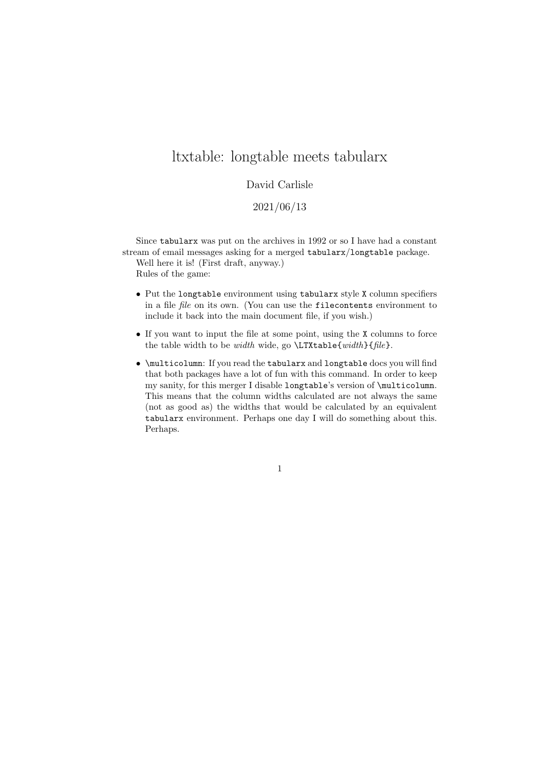## ltxtable: longtable meets tabularx

## David Carlisle

2021/06/13

Since tabularx was put on the archives in 1992 or so I have had a constant stream of email messages asking for a merged tabularx/longtable package.

Well here it is! (First draft, anyway.) Rules of the game:

- Put the longtable environment using tabularx style X column specifiers in a file file on its own. (You can use the filecontents environment to include it back into the main document file, if you wish.)
- If you want to input the file at some point, using the X columns to force the table width to be width wide, go  $\LTXtable{width}{file}.$
- \multicolumn: If you read the tabularx and longtable docs you will find that both packages have a lot of fun with this command. In order to keep my sanity, for this merger I disable longtable's version of \multicolumn. This means that the column widths calculated are not always the same (not as good as) the widths that would be calculated by an equivalent tabularx environment. Perhaps one day I will do something about this. Perhaps.

1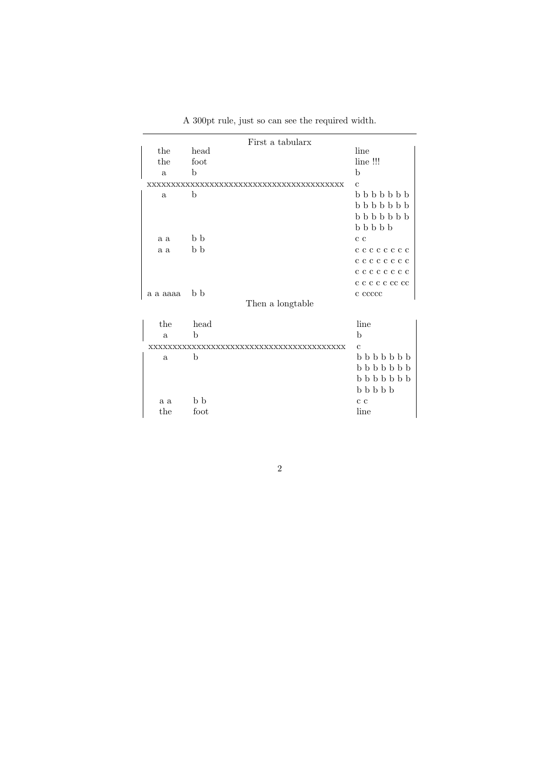| First a tabularx   |             |                             |  |
|--------------------|-------------|-----------------------------|--|
| the                | head        | line                        |  |
| the                | foot        | line !!!                    |  |
| $\mathbf{a}$       | b           | b                           |  |
| XXXXXX<br>xxxxxxxx |             | $\mathbf{c}$                |  |
| a                  | b           | $b\; b\; b\; b\; b\; b$     |  |
|                    |             | $b\; b\; b\; b\; b\; b$     |  |
|                    |             | $b\; b\; b\; b\; b\; b$     |  |
|                    |             | $b\; b\; b\; b\; b$         |  |
| a a                | b b         | c c                         |  |
| a a                | b b         | c c c c c c c c             |  |
|                    |             | cccccccc                    |  |
|                    |             | cccccccc                    |  |
|                    |             | c c c c c cc cc             |  |
| a a aaaa           | b b         | c ccccc                     |  |
| Then a longtable   |             |                             |  |
| the                | head        | line                        |  |
| $\mathbf{a}$       | b           | b                           |  |
|                    |             | $\mathbf{c}$                |  |
| a                  | $\mathbf b$ | <b>b b b b b b</b>          |  |
|                    |             | <b>b b b b b b</b>          |  |
|                    |             | $b$ $b$ $b$ $b$ $b$ $b$ $b$ |  |
|                    |             | $b\;b\;b\;b\;b$             |  |
| a a                | b b         | c c                         |  |
| the                | foot        | line                        |  |

A 300pt rule, just so can see the required width.

2